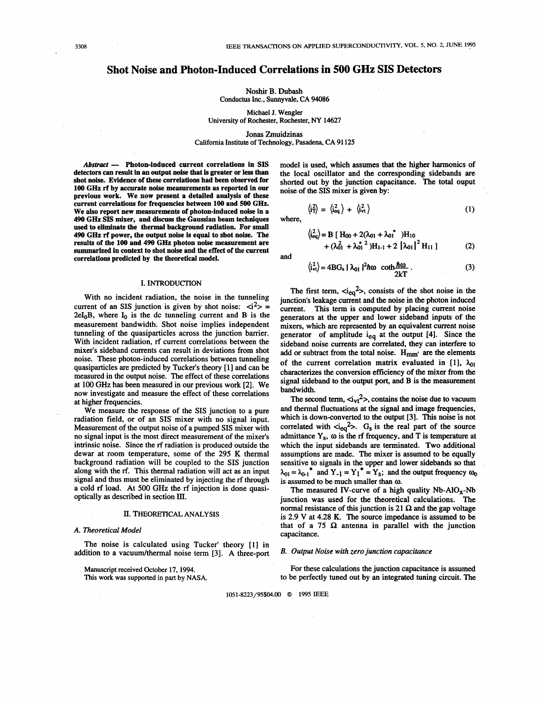# **Shot Noise and Photon-Induced Correlations in 500 GHz SIS Detectors**

**Noshir B.** Dubash Conductus Inc., Sunnyvale, CA **94086** 

Michael J. Wengler University of Rochester, Rochester, *NY* **14627** 

Jonas Zmuidzinas

Califomia Institute of Technology, Pasadena, CA **91 125** 

Abstract - Photon-induced current correlations in SIS detectors *can* result in an output noise that is greater or less **than**  shot noise. Evidence of these correlations had been observed for **100** *GHz* rf by accurate noise measurements **as** reported in **OUF**  previous work. We now present a detailed analysis of these current correlations for frequencies between **100** and *500 GHz.*  We **also** report new measurements of photon-induced noise in **a 490** *GHz* **SIS** mixer, and discuss the Gaussian beam techniques **used to** eliminate the thermal background radiation. For small **490 GHz** rf power, the output noise *is* equal to shot noise. The **results** of the **100** and **490 GHz** photon noise measurement are **summarized** in context to shot noise and the effect of the current correlations predicted **by** the theoretical model.

#### **I.** INTRODUCTION

With no incident radiation, the noise in the tunneling current of an SIS junction is given by shot noise:  $\langle i^2 \rangle$  =  $2eI_0B$ , where  $I_0$  is the dc tunneling current and B is the measurement bandwidth. Shot noise implies independent tunneling of the quasiparticles across the junction barrier. With incident radiation, **rf** current correlations between the mixer's sideband currents can result in deviations from shot noise. These photon-induced correlations between tunneling quasiparticles are predicted by Tucker's theory [ 11 and can be measured in the output noise. The effect of these correlations at 100 GHz has been measured in our previous work [2]. We now investigate and measure the effect of these correlations at higher frequencies.

We measure the response of the **SIS** junction to a pure radiation field, or of an **SIS** mixer with no signal input. Measurement of the output noise of a pumped SIS mixer with no signal input is the most direct measurement of the mixer's intrinsic noise. Since the rf radiation is produced outside the dewar at room temperature, some of the 295 **K** thermal background radiation will be coupled to the SIS junction along with the rf. This thermal radiation will act **as** an input signal and thus must be eliminated by injecting the **rf** through a cold rf load. At 500 GHz the rf injection is done quasioptically **as** described in section **III.** 

## **II.** THEORETICAL ANALYSIS

## *A. Theoretical Model*

The noise is calculated using Tucker' theory [l] in addition to a vacuum/thermal noise term [3]. A three-port

Manuscript received October **17, 1994.**  *This* work was supported in part **by** NASA. model is used, which assumes that the higher harmonics of the local oscillator and the corresponding sidebands are shorted out by the junction capacitance. The total ouput noise of the SIS mixer is given by:

$$
\left\langle \hat{i}_T^2 \right\rangle = \left\langle \hat{i}_{\text{eq}}^2 \right\rangle + \left\langle \hat{i}_{\text{vt}}^2 \right\rangle \tag{1}
$$
 where,

$$
\langle \hat{i}_{eq}^{2} \rangle = B [ H_{00} + 2(\lambda_{01} + \lambda_{01}^{*}) H_{10} + (\lambda_{01}^{2} + \lambda_{01}^{*}) H_{11} + 2 |\lambda_{01}|^{2} H_{11}]
$$
 (2)

and

$$
\langle \hat{i}_{\nu\tau}^2 \rangle = 4BG_s \mid \lambda_{01} \mid^2 \hbar \omega \quad \text{coth} \frac{\hbar \omega}{2kT} \,. \tag{3}
$$

The first term,  $\langle \dot{u}_{eq} \rangle$ , consists of the shot noise in the junction's leakage current and the noise in the photon induced current. This term is computed by placing current noise generators at the upper and lower sideband inputs of the mixers, which are represented by an equivalent current noise generator of amplitude ieq at the output **[4].** Since the sideband noise currents are correlated, they can interfere to add or subtract from the total noise.  $H_{mm'}$  are the elements of the current correlation matrix evaluated in [1],  $\lambda_{01}$ characterizes the conversion efficiency of the mixer from the signal sideband to the output port, and **B** is the measurement bandwidth.

The second term,  $\langle \dot{a}_{vt}^2 \rangle$ , contains the noise due to vacuum and thermal fluctuations at the signal and image frequencies, which is down-converted to the output [3]. This noise is not correlated with  $\langle i_{eq}^2 \rangle$ . G<sub>s</sub> is the real part of the source admittance  $Y_s$ ,  $\omega$  is the rf frequency, and T is temperature at which the input sidebands are terminated. Two additional assumptions are made. The mixer is assumed to be equally sensitive to signals in the upper and lower sidebands so that  $\lambda_{01} = \lambda_{01}^*$  and  $Y_{-1} = Y_1^* = Y_s$ ; and the output frequency  $\omega_0$ is assumed to be much smaller than **a.** 

The measured IV-curve of a high quality Nb-AlO<sub>x</sub>-Nb junction was used for the theoretical calculations. The normal resistance of this junction is 21  $\Omega$  and the gap voltage is 2.9 **V** at 4.28 **K.** The source impedance is assumed to be that of a 75  $\Omega$  antenna in parallel with the junction capacitance.

#### *B. Output Noise with zero junction capacitance*

For these calculations the junction capacitance is assumed to be perfectly tuned out by an integrated tuning circuit. The

**1051-8223/95\$04.00** *0* **1995 IEEE**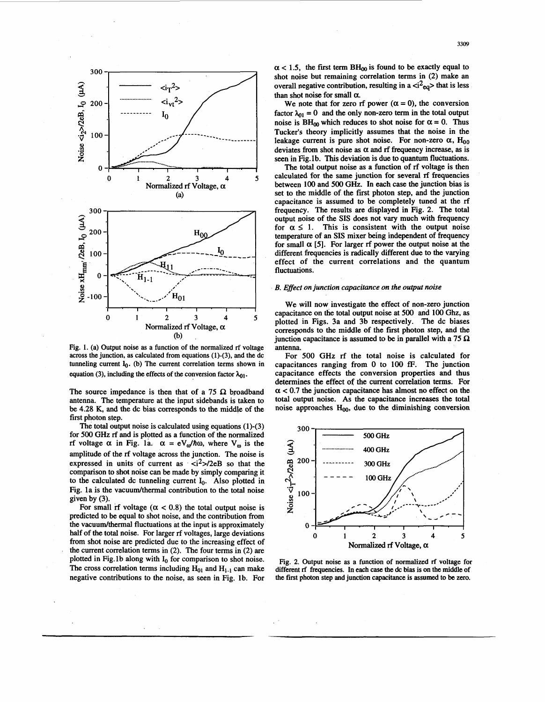

Fig. 1. (a) Output noise **as** a function of the normalized rf voltage across the junction, **as** calculated from equations (1)-(3), and the dc tunneling current I<sub>0</sub>. (b) The current correlation terms shown in equation (3), including the effects of the conversion factor  $\lambda_{01}$ .

The source impedance is then that of a 75  $\Omega$  broadband antenna. The temperature at the input sidebands is taken to be **4.28** K, and the dc bias corresponds to the middle of the first photon step.

The total output noise is calculated using equations (1)-(3) for 500 **GHz** rf and is plotted **as** a function of the normalized rf voltage  $\alpha$  in Fig. 1a.  $\alpha = eV_{\omega}/\hbar\omega$ , where  $V_{\omega}$  is the amplitude of the rf voltage across the junction. The noise is expressed in units of current as  $\langle i^2 \rangle / 2eB$  so that the comparison to shot noise can be made by simply comparing it to the calculated dc tunneling current  $I_0$ . Also plotted in Fig. 1a is the vacuum/thermal contribution to the total noise given by (3).

For small rf voltage  $(\alpha < 0.8)$  the total output noise is predicted to be equal to shot noise, and the contribution from the vacuum/thermal fluctuations at the input is approximately half of the total noise. For larger rf voltages, large deviations from shot noise are predicted due to the increasing effect of the current correlation terms in (2). The four terms in (2) are plotted in Fig.lb along with **Io** for comparison to shot noise. The cross correlation terms including  $H_{01}$  and  $H_{1-1}$  can make negative contributions to the noise, **as** seen in Fig. lb. For

 $\alpha$  < 1.5, the first term BH<sub>00</sub> is found to be exactly equal to shot noise but remaining correlation terms in **(2)** make an overall negative contribution, resulting in a  $\langle \mathbf{a}^2_{eq} \rangle$  that is less than shot noise for small *a.* 

We note that for zero rf power  $(\alpha = 0)$ , the conversion factor  $\lambda_{01} = 0$  and the only non-zero term in the total output noise is  $BH_{00}$  which reduces to shot noise for  $\alpha = 0$ . Thus Tucker's theory implicitly assumes that the noise in the leakage current is pure shot noise. For non-zero  $\alpha$ ,  $H_{00}$ deviates from shot noise as  $\alpha$  and rf frequency increase, as is seen in Fig.lb. This deviation is due to quantum fluctuations.

The total output noise **as** a function of rf voltage is then calculated for the same junction for several rf frequencies between 100 and 500 **GHz.** In each case the junction bias is set to the middle of the first photon step, and the junction capacitance is assumed to be completely tuned at the rf frequency. The results are displayed in Fig. **2.** The total output noise of the **SIS** does not vary much with frequency for  $\alpha \leq 1$ . This is consistent with the output noise temperature of **an SIS** mixer being independent of frequency for small  $\alpha$  [5]. For larger rf power the output noise at the different frequencies is radically different due to the varying effect of the current correlations and the quantum fluctuations.

#### *B. Effect on junction capacitance on the output noise*

We will now investigate the effect of non-zero junction capacitance on the total output noise at **500** and 100 **Ghz, as**  plotted in Figs. 3a and 3b respectively. The dc biases corresponds to the middle of the first photon step, and the junction capacitance is assumed to be in parallel with a  $75 \Omega$ antenna.

For *500* **GHz** rf the total noise is calculated for capacitances ranging from 0 to **100 fF.** The junction capacitance effects the conversion properties and thus determines the effect **of** the current correlation terms. For  $\alpha$  < 0.7 the junction capacitance has almost no effect on the total output noise. As the capacitance increases the total noise approaches  $H_{00}$ , due to the diminishing conversion



Fig. 2. Output noise **as** a function of normalized **r€** voltage for different rf frequencies. In each case the **dc** bias is on the middle of the first photon step and junction capacitance is assumed to be zero.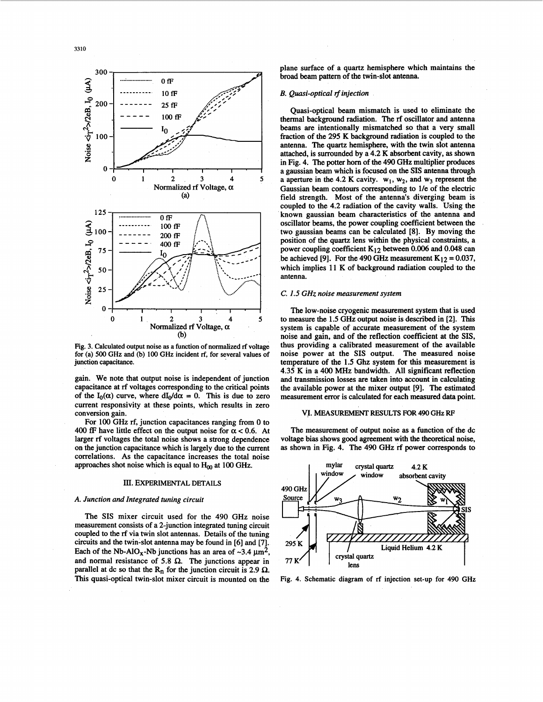![](_page_2_Figure_1.jpeg)

Fig. 3. Calculated output noise **as a** function of normalized rf voltage for (a) **500** GHz and **(b) 100** GHz incident rf, for several values of junction capacitance.

gain. We note that output noise is independent of junction capacitance at rf voltages corresponding to the critical points of the  $I_0(\alpha)$  curve, where  $dI_0/d\alpha = 0$ . This is due to zero current responsivity at these points, which results in zero conversion gain.

For 100 GHz rf, junction capacitances ranging from 0 to 400 fF have little effect on the output noise for  $\alpha < 0.6$ . At larger rf voltages the total noise shows a strong dependence on the junction capacitance which is largely due to the current correlations. As the capacitance increases the total noise approaches shot noise which is equal to  $H_{00}$  at 100 GHz.

## III. EXPERIMENTAL DETAILS

## *A. Junction and Integrated tuning circuit*

The **SIS** mixer circuit used for the 490 GHz noise measurement consists of a 2-junction integrated tuning circuit coupled to the rf via twin slot antennas. Details of the tuning circuits and the twin-slot antenna may be found in [6] and [7]. Each of the Nb-AlO<sub>x</sub>-Nb junctions has an area of  $\sim 3.4 \mu m^2$ , and normal resistance of 5.8  $\Omega$ . The junctions appear in parallel at dc so that the  $R_n$  for the junction circuit is 2.9  $\Omega$ . **This** quasi-optical twin-slot mixer circuit is mounted on the Fig. **4.** Schematic diagram of **rf** injection set-up for **490** GHz

*p,* ' / \_\_\_\_\_\_\_ **25s** *\$0, 0* Quasi-optical beam mismatch is used to eliminate the ----- **>a:;'**  beams are intentionally mismatched so that a very small fraction of the 295 K background radiation is coupled to the antenna. The quartz hemisphere, with the twin slot antenna attached, is surrounded by a 4.2 K absorbent cavity, as shown in Fig. 4. The potter horn of the 490 GHz multiplier produces a gaussian beam which is focused on the SIS antenna through a aperture in the 4.2 K cavity.  $w_1$ ,  $w_2$ , and  $w_3$  represent the Gaussian beam contours corresponding to 1/e of the electric field strength. Most of the antenna's diverging beam is coupled to the 4.2 radiation of the cavity walls. Using the known gaussian beam characteristics of the antenna and oscillator beams, the power coupling coefficient between the two gaussian beams can be calculated [8]. By moving the position of the quartz lens within the physical constraints, a power coupling coefficient  $K_{12}$  between 0.006 and 0.048 can be achieved [9]. For the 490 GHz measurement  $K_{12} = 0.037$ , which implies 11 K of background radiation coupled to the antenna.

## C. 1.5 GHz noise measurement system

The low-noise cryogenic measurement system that is used to measure the 1.5 GHz output noise is described in [2]. This system is capable of accurate measurement of the system noise and gain, and of the reflection coefficient at the **SIS,**  thus providing a calibrated measurement of the available noise power at the **SIS** output. The measured noise temperature of the **1.5** Ghz system for this measurement is 4.35 **K** in a 400 MHz bandwidth. All significant reflection and transmission losses are taken into account in calculating the available power at the mixer output [9]. The estimated measurement error is calculated for each measured **data** point.

## **VI.** MEASUREMENT RESULTS FOR **490** GHz RF

The measurement of output noise **as** a function of the dc voltage bias shows good agreement with the theoretical noise, **as** shown in Fig. 4. The 490 GHz rf power corresponds to

![](_page_2_Figure_15.jpeg)